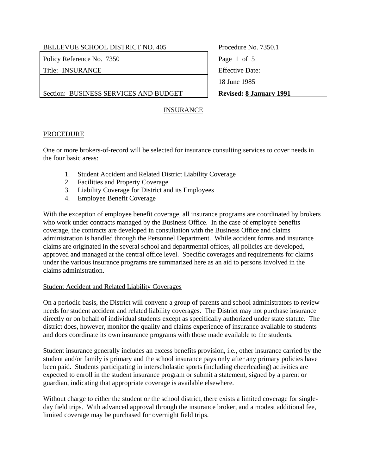# BELLEVUE SCHOOL DISTRICT NO. 405 Procedure No. 7350.1

Policy Reference No. 7350 Page 1 of 5

Title: INSURANCE Effective Date:

Section: BUSINESS SERVICES AND BUDGET **Revised: 8 January 1991** 

18 June 1985

# INSURANCE

# **PROCEDURE**

One or more brokers-of-record will be selected for insurance consulting services to cover needs in the four basic areas:

- 1. Student Accident and Related District Liability Coverage
- 2. Facilities and Property Coverage
- 3. Liability Coverage for District and its Employees
- 4. Employee Benefit Coverage

With the exception of employee benefit coverage, all insurance programs are coordinated by brokers who work under contracts managed by the Business Office. In the case of employee benefits coverage, the contracts are developed in consultation with the Business Office and claims administration is handled through the Personnel Department. While accident forms and insurance claims are originated in the several school and departmental offices, all policies are developed, approved and managed at the central office level. Specific coverages and requirements for claims under the various insurance programs are summarized here as an aid to persons involved in the claims administration.

# Student Accident and Related Liability Coverages

On a periodic basis, the District will convene a group of parents and school administrators to review needs for student accident and related liability coverages. The District may not purchase insurance directly or on behalf of individual students except as specifically authorized under state statute. The district does, however, monitor the quality and claims experience of insurance available to students and does coordinate its own insurance programs with those made available to the students.

Student insurance generally includes an excess benefits provision, i.e., other insurance carried by the student and/or family is primary and the school insurance pays only after any primary policies have been paid. Students participating in interscholastic sports (including cheerleading) activities are expected to enroll in the student insurance program or submit a statement, signed by a parent or guardian, indicating that appropriate coverage is available elsewhere.

Without charge to either the student or the school district, there exists a limited coverage for singleday field trips. With advanced approval through the insurance broker, and a modest additional fee, limited coverage may be purchased for overnight field trips.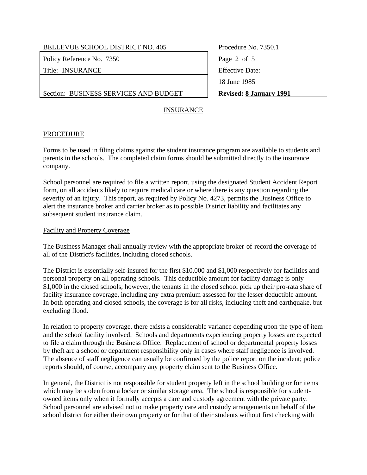Policy Reference No. 7350 Page 2 of 5

Title: INSURANCE Effective Date:

Section: BUSINESS SERVICES AND BUDGET **Revised: 8 January 1991**

Procedure No. 7350.1 18 June 1985

# INSURANCE

#### **PROCEDURE**

Forms to be used in filing claims against the student insurance program are available to students and parents in the schools. The completed claim forms should be submitted directly to the insurance company.

School personnel are required to file a written report, using the designated Student Accident Report form, on all accidents likely to require medical care or where there is any question regarding the severity of an injury. This report, as required by Policy No. 4273, permits the Business Office to alert the insurance broker and carrier broker as to possible District liability and facilitates any subsequent student insurance claim.

#### Facility and Property Coverage

The Business Manager shall annually review with the appropriate broker-of-record the coverage of all of the District's facilities, including closed schools.

The District is essentially self-insured for the first \$10,000 and \$1,000 respectively for facilities and personal property on all operating schools. This deductible amount for facility damage is only \$1,000 in the closed schools; however, the tenants in the closed school pick up their pro-rata share of facility insurance coverage, including any extra premium assessed for the lesser deductible amount. In both operating and closed schools, the coverage is for all risks, including theft and earthquake, but excluding flood.

In relation to property coverage, there exists a considerable variance depending upon the type of item and the school facility involved. Schools and departments experiencing property losses are expected to file a claim through the Business Office. Replacement of school or departmental property losses by theft are a school or department responsibility only in cases where staff negligence is involved. The absence of staff negligence can usually be confirmed by the police report on the incident; police reports should, of course, accompany any property claim sent to the Business Office.

In general, the District is not responsible for student property left in the school building or for items which may be stolen from a locker or similar storage area. The school is responsible for studentowned items only when it formally accepts a care and custody agreement with the private party. School personnel are advised not to make property care and custody arrangements on behalf of the school district for either their own property or for that of their students without first checking with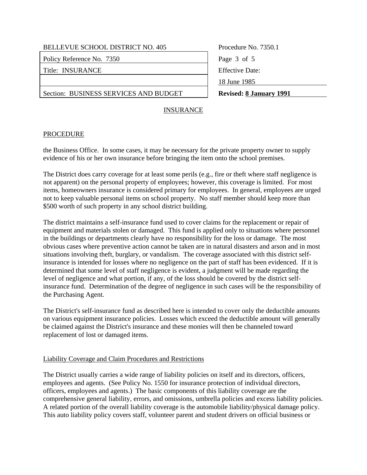Policy Reference No. 7350 Page 3 of 5

Title: INSURANCE Effective Date:

Section: BUSINESS SERVICES AND BUDGET **Revised: 8 January 1991**

Procedure No. 7350.1 18 June 1985

# INSURANCE

# PROCEDURE

the Business Office. In some cases, it may be necessary for the private property owner to supply evidence of his or her own insurance before bringing the item onto the school premises.

The District does carry coverage for at least some perils (e.g., fire or theft where staff negligence is not apparent) on the personal property of employees; however, this coverage is limited. For most items, homeowners insurance is considered primary for employees. In general, employees are urged not to keep valuable personal items on school property. No staff member should keep more than \$500 worth of such property in any school district building.

The district maintains a self-insurance fund used to cover claims for the replacement or repair of equipment and materials stolen or damaged. This fund is applied only to situations where personnel in the buildings or departments clearly have no responsibility for the loss or damage. The most obvious cases where preventive action cannot be taken are in natural disasters and arson and in most situations involving theft, burglary, or vandalism. The coverage associated with this district selfinsurance is intended for losses where no negligence on the part of staff has been evidenced. If it is determined that some level of staff negligence is evident, a judgment will be made regarding the level of negligence and what portion, if any, of the loss should be covered by the district selfinsurance fund. Determination of the degree of negligence in such cases will be the responsibility of the Purchasing Agent.

The District's self-insurance fund as described here is intended to cover only the deductible amounts on various equipment insurance policies. Losses which exceed the deductible amount will generally be claimed against the District's insurance and these monies will then be channeled toward replacement of lost or damaged items.

# Liability Coverage and Claim Procedures and Restrictions

The District usually carries a wide range of liability policies on itself and its directors, officers, employees and agents. (See Policy No. 1550 for insurance protection of individual directors, officers, employees and agents.) The basic components of this liability coverage are the comprehensive general liability, errors, and omissions, umbrella policies and excess liability policies. A related portion of the overall liability coverage is the automobile liability/physical damage policy. This auto liability policy covers staff, volunteer parent and student drivers on official business or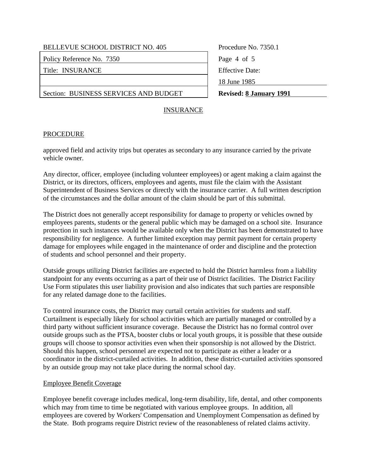# BELLEVUE SCHOOL DISTRICT NO. 405 Procedure No. 7350.1

Policy Reference No. 7350 Page 4 of 5

Title: INSURANCE Fitle: Effective Date:

Section: BUSINESS SERVICES AND BUDGET **Revised: 8 January 1991**

18 June 1985

# INSURANCE

# **PROCEDURE**

approved field and activity trips but operates as secondary to any insurance carried by the private vehicle owner.

Any director, officer, employee (including volunteer employees) or agent making a claim against the District, or its directors, officers, employees and agents, must file the claim with the Assistant Superintendent of Business Services or directly with the insurance carrier. A full written description of the circumstances and the dollar amount of the claim should be part of this submittal.

The District does not generally accept responsibility for damage to property or vehicles owned by employees parents, students or the general public which may be damaged on a school site. Insurance protection in such instances would be available only when the District has been demonstrated to have responsibility for negligence. A further limited exception may permit payment for certain property damage for employees while engaged in the maintenance of order and discipline and the protection of students and school personnel and their property.

Outside groups utilizing District facilities are expected to hold the District harmless from a liability standpoint for any events occurring as a part of their use of District facilities. The District Facility Use Form stipulates this user liability provision and also indicates that such parties are responsible for any related damage done to the facilities.

To control insurance costs, the District may curtail certain activities for students and staff. Curtailment is especially likely for school activities which are partially managed or controlled by a third party without sufficient insurance coverage. Because the District has no formal control over outside groups such as the PTSA, booster clubs or local youth groups, it is possible that these outside groups will choose to sponsor activities even when their sponsorship is not allowed by the District. Should this happen, school personnel are expected not to participate as either a leader or a coordinator in the district-curtailed activities. In addition, these district-curtailed activities sponsored by an outside group may not take place during the normal school day.

# Employee Benefit Coverage

Employee benefit coverage includes medical, long-term disability, life, dental, and other components which may from time to time be negotiated with various employee groups. In addition, all employees are covered by Workers' Compensation and Unemployment Compensation as defined by the State. Both programs require District review of the reasonableness of related claims activity.